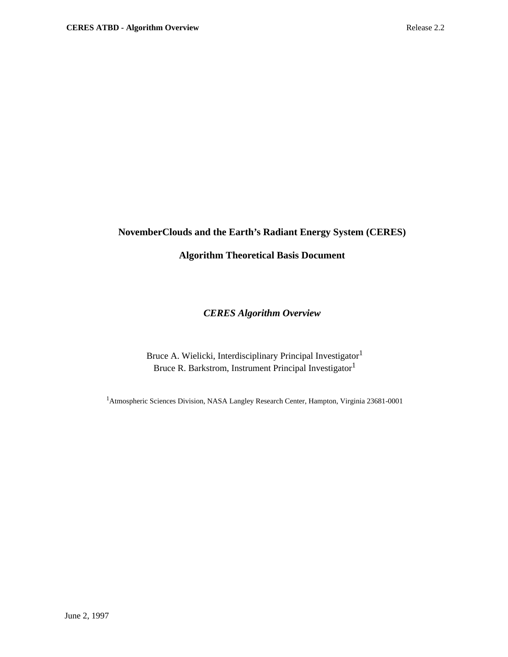# **NovemberClouds and the Earth's Radiant Energy System (CERES)**

# **Algorithm Theoretical Basis Document**

# *CERES Algorithm Overview*

Bruce A. Wielicki, Interdisciplinary Principal Investigator<sup>1</sup> Bruce R. Barkstrom, Instrument Principal Investigator<sup>1</sup>

<sup>1</sup> Atmospheric Sciences Division, NASA Langley Research Center, Hampton, Virginia 23681-0001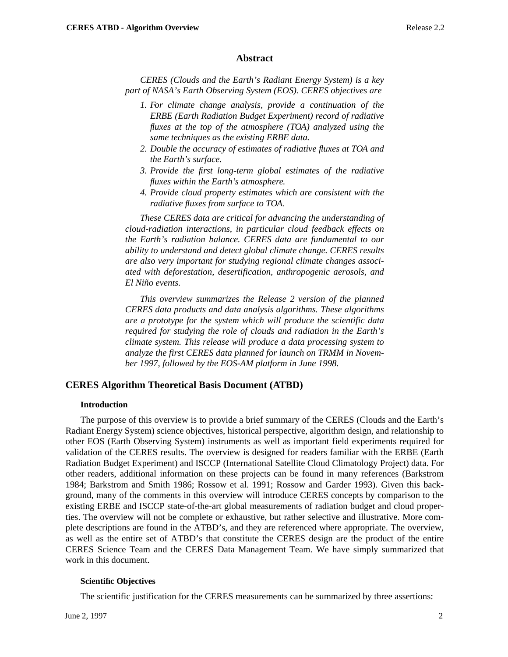#### **Abstract**

*CERES (Clouds and the Earth's Radiant Energy System) is a key part of NASA's Earth Observing System (EOS). CERES objectives are*

- *1. For climate change analysis, provide a continuation of the ERBE (Earth Radiation Budget Experiment) record of radiative fluxes at the top of the atmosphere (TOA) analyzed using the same techniques as the existing ERBE data.*
- *2. Double the accuracy of estimates of radiative fluxes at TOA and the Earth's surface.*
- *3. Provide the first long-term global estimates of the radiative fluxes within the Earth's atmosphere.*
- *4. Provide cloud property estimates which are consistent with the radiative fluxes from surface to TOA.*

*These CERES data are critical for advancing the understanding of cloud-radiation interactions, in particular cloud feedback effects on the Earth's radiation balance. CERES data are fundamental to our ability to understand and detect global climate change. CERES results are also very important for studying regional climate changes associated with deforestation, desertification, anthropogenic aerosols, and El Niño events.*

*This overview summarizes the Release 2 version of the planned CERES data products and data analysis algorithms. These algorithms are a prototype for the system which will produce the scientific data required for studying the role of clouds and radiation in the Earth's climate system. This release will produce a data processing system to analyze the first CERES data planned for launch on TRMM in November 1997, followed by the EOS-AM platform in June 1998.*

### **CERES Algorithm Theoretical Basis Document (ATBD)**

#### **Introduction**

The purpose of this overview is to provide a brief summary of the CERES (Clouds and the Earth's Radiant Energy System) science objectives, historical perspective, algorithm design, and relationship to other EOS (Earth Observing System) instruments as well as important field experiments required for validation of the CERES results. The overview is designed for readers familiar with the ERBE (Earth Radiation Budget Experiment) and ISCCP (International Satellite Cloud Climatology Project) data. For other readers, additional information on these projects can be found in many references (Barkstrom 1984; Barkstrom and Smith 1986; Rossow et al. 1991; Rossow and Garder 1993). Given this background, many of the comments in this overview will introduce CERES concepts by comparison to the existing ERBE and ISCCP state-of-the-art global measurements of radiation budget and cloud properties. The overview will not be complete or exhaustive, but rather selective and illustrative. More complete descriptions are found in the ATBD's, and they are referenced where appropriate. The overview, as well as the entire set of ATBD's that constitute the CERES design are the product of the entire CERES Science Team and the CERES Data Management Team. We have simply summarized that work in this document.

### **Scientific Objectives**

The scientific justification for the CERES measurements can be summarized by three assertions: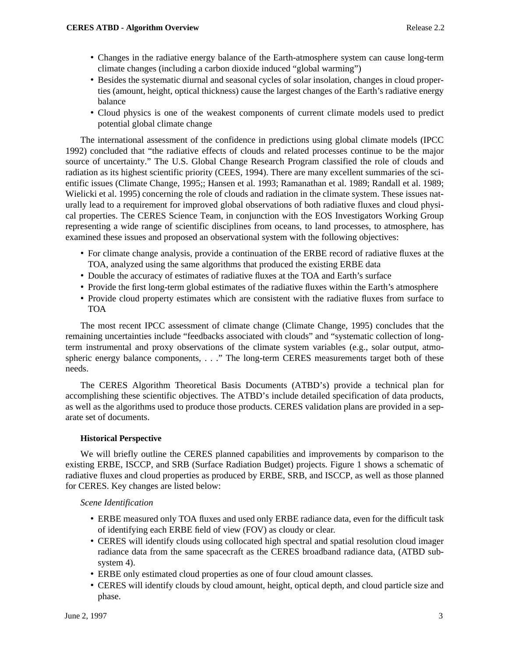- Changes in the radiative energy balance of the Earth-atmosphere system can cause long-term climate changes (including a carbon dioxide induced "global warming")
- Besides the systematic diurnal and seasonal cycles of solar insolation, changes in cloud properties (amount, height, optical thickness) cause the largest changes of the Earth's radiative energy balance
- Cloud physics is one of the weakest components of current climate models used to predict potential global climate change

The international assessment of the confidence in predictions using global climate models (IPCC 1992) concluded that "the radiative effects of clouds and related processes continue to be the major source of uncertainty." The U.S. Global Change Research Program classified the role of clouds and radiation as its highest scientific priority (CEES, 1994). There are many excellent summaries of the scientific issues (Climate Change, 1995;; Hansen et al. 1993; Ramanathan et al. 1989; Randall et al. 1989; Wielicki et al. 1995) concerning the role of clouds and radiation in the climate system. These issues naturally lead to a requirement for improved global observations of both radiative fluxes and cloud physical properties. The CERES Science Team, in conjunction with the EOS Investigators Working Group representing a wide range of scientific disciplines from oceans, to land processes, to atmosphere, has examined these issues and proposed an observational system with the following objectives:

- For climate change analysis, provide a continuation of the ERBE record of radiative fluxes at the TOA, analyzed using the same algorithms that produced the existing ERBE data
- Double the accuracy of estimates of radiative fluxes at the TOA and Earth's surface
- Provide the first long-term global estimates of the radiative fluxes within the Earth's atmosphere
- Provide cloud property estimates which are consistent with the radiative fluxes from surface to TOA

The most recent IPCC assessment of climate change (Climate Change, 1995) concludes that the remaining uncertainties include "feedbacks associated with clouds" and "systematic collection of longterm instrumental and proxy observations of the climate system variables (e.g., solar output, atmospheric energy balance components, . . ." The long-term CERES measurements target both of these needs.

The CERES Algorithm Theoretical Basis Documents (ATBD's) provide a technical plan for accomplishing these scientific objectives. The ATBD's include detailed specification of data products, as well as the algorithms used to produce those products. CERES validation plans are provided in a separate set of documents.

# **Historical Perspective**

We will briefly outline the CERES planned capabilities and improvements by comparison to the existing ERBE, ISCCP, and SRB (Surface Radiation Budget) projects. Figure 1 shows a schematic of radiative fluxes and cloud properties as produced by ERBE, SRB, and ISCCP, as well as those planned for CERES. Key changes are listed below:

### *Scene Identification*

- ERBE measured only TOA fluxes and used only ERBE radiance data, even for the difficult task of identifying each ERBE field of view (FOV) as cloudy or clear.
- CERES will identify clouds using collocated high spectral and spatial resolution cloud imager radiance data from the same spacecraft as the CERES broadband radiance data, (ATBD subsystem 4).
- ERBE only estimated cloud properties as one of four cloud amount classes.
- CERES will identify clouds by cloud amount, height, optical depth, and cloud particle size and phase.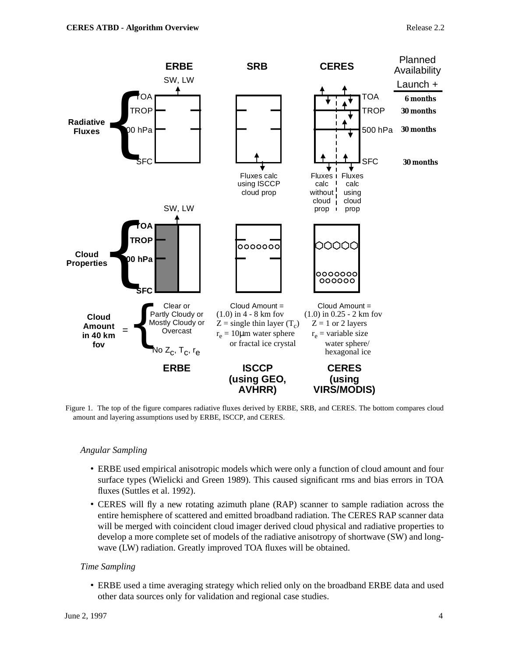

Figure 1. The top of the figure compares radiative fluxes derived by ERBE, SRB, and CERES. The bottom compares cloud amount and layering assumptions used by ERBE, ISCCP, and CERES.

# *Angular Sampling*

- ERBE used empirical anisotropic models which were only a function of cloud amount and four surface types (Wielicki and Green 1989). This caused significant rms and bias errors in TOA fluxes (Suttles et al. 1992).
- CERES will fly a new rotating azimuth plane (RAP) scanner to sample radiation across the entire hemisphere of scattered and emitted broadband radiation. The CERES RAP scanner data will be merged with coincident cloud imager derived cloud physical and radiative properties to develop a more complete set of models of the radiative anisotropy of shortwave (SW) and longwave (LW) radiation. Greatly improved TOA fluxes will be obtained.

## *Time Sampling*

• ERBE used a time averaging strategy which relied only on the broadband ERBE data and used other data sources only for validation and regional case studies.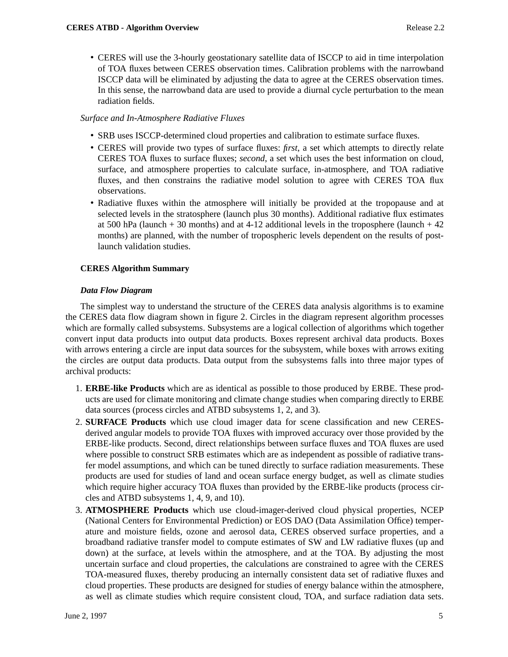• CERES will use the 3-hourly geostationary satellite data of ISCCP to aid in time interpolation of TOA fluxes between CERES observation times. Calibration problems with the narrowband ISCCP data will be eliminated by adjusting the data to agree at the CERES observation times. In this sense, the narrowband data are used to provide a diurnal cycle perturbation to the mean radiation fields.

# *Surface and In-Atmosphere Radiative Fluxes*

- SRB uses ISCCP-determined cloud properties and calibration to estimate surface fluxes.
- CERES will provide two types of surface fluxes: *first*, a set which attempts to directly relate CERES TOA fluxes to surface fluxes; *second*, a set which uses the best information on cloud, surface, and atmosphere properties to calculate surface, in-atmosphere, and TOA radiative fluxes, and then constrains the radiative model solution to agree with CERES TOA flux observations.
- Radiative fluxes within the atmosphere will initially be provided at the tropopause and at selected levels in the stratosphere (launch plus 30 months). Additional radiative flux estimates at 500 hPa (launch  $+30$  months) and at 4-12 additional levels in the troposphere (launch  $+42$ months) are planned, with the number of tropospheric levels dependent on the results of postlaunch validation studies.

# **CERES Algorithm Summary**

## *Data Flow Diagram*

The simplest way to understand the structure of the CERES data analysis algorithms is to examine the CERES data flow diagram shown in figure 2. Circles in the diagram represent algorithm processes which are formally called subsystems. Subsystems are a logical collection of algorithms which together convert input data products into output data products. Boxes represent archival data products. Boxes with arrows entering a circle are input data sources for the subsystem, while boxes with arrows exiting the circles are output data products. Data output from the subsystems falls into three major types of archival products:

- 1. **ERBE-like Products** which are as identical as possible to those produced by ERBE. These products are used for climate monitoring and climate change studies when comparing directly to ERBE data sources (process circles and ATBD subsystems 1, 2, and 3).
- 2. **SURFACE Products** which use cloud imager data for scene classification and new CERESderived angular models to provide TOA fluxes with improved accuracy over those provided by the ERBE-like products. Second, direct relationships between surface fluxes and TOA fluxes are used where possible to construct SRB estimates which are as independent as possible of radiative transfer model assumptions, and which can be tuned directly to surface radiation measurements. These products are used for studies of land and ocean surface energy budget, as well as climate studies which require higher accuracy TOA fluxes than provided by the ERBE-like products (process circles and ATBD subsystems 1, 4, 9, and 10).
- 3. **ATMOSPHERE Products** which use cloud-imager-derived cloud physical properties, NCEP (National Centers for Environmental Prediction) or EOS DAO (Data Assimilation Office) temperature and moisture fields, ozone and aerosol data, CERES observed surface properties, and a broadband radiative transfer model to compute estimates of SW and LW radiative fluxes (up and down) at the surface, at levels within the atmosphere, and at the TOA. By adjusting the most uncertain surface and cloud properties, the calculations are constrained to agree with the CERES TOA-measured fluxes, thereby producing an internally consistent data set of radiative fluxes and cloud properties. These products are designed for studies of energy balance within the atmosphere, as well as climate studies which require consistent cloud, TOA, and surface radiation data sets.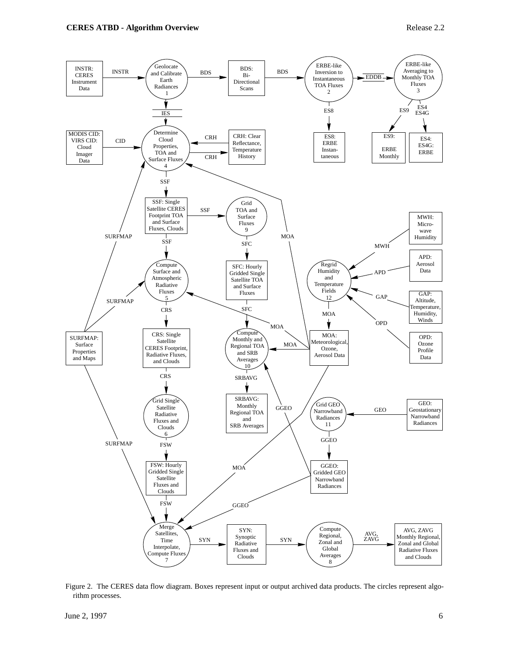

Figure 2. The CERES data flow diagram. Boxes represent input or output archived data products. The circles represent algorithm processes.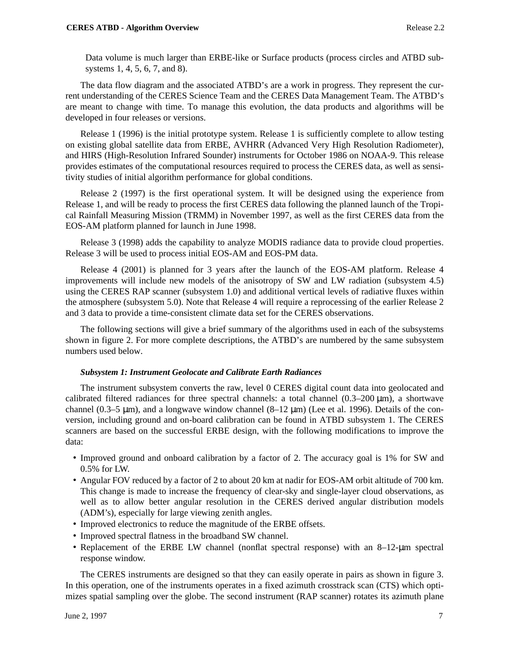Data volume is much larger than ERBE-like or Surface products (process circles and ATBD subsystems 1, 4, 5, 6, 7, and 8).

The data flow diagram and the associated ATBD's are a work in progress. They represent the current understanding of the CERES Science Team and the CERES Data Management Team. The ATBD's are meant to change with time. To manage this evolution, the data products and algorithms will be developed in four releases or versions.

Release 1 (1996) is the initial prototype system. Release 1 is sufficiently complete to allow testing on existing global satellite data from ERBE, AVHRR (Advanced Very High Resolution Radiometer), and HIRS (High-Resolution Infrared Sounder) instruments for October 1986 on NOAA-9. This release provides estimates of the computational resources required to process the CERES data, as well as sensitivity studies of initial algorithm performance for global conditions.

Release 2 (1997) is the first operational system. It will be designed using the experience from Release 1, and will be ready to process the first CERES data following the planned launch of the Tropical Rainfall Measuring Mission (TRMM) in November 1997, as well as the first CERES data from the EOS-AM platform planned for launch in June 1998.

Release 3 (1998) adds the capability to analyze MODIS radiance data to provide cloud properties. Release 3 will be used to process initial EOS-AM and EOS-PM data.

Release 4 (2001) is planned for 3 years after the launch of the EOS-AM platform. Release 4 improvements will include new models of the anisotropy of SW and LW radiation (subsystem 4.5) using the CERES RAP scanner (subsystem 1.0) and additional vertical levels of radiative fluxes within the atmosphere (subsystem 5.0). Note that Release 4 will require a reprocessing of the earlier Release 2 and 3 data to provide a time-consistent climate data set for the CERES observations.

The following sections will give a brief summary of the algorithms used in each of the subsystems shown in figure 2. For more complete descriptions, the ATBD's are numbered by the same subsystem numbers used below.

#### *Subsystem 1: Instrument Geolocate and Calibrate Earth Radiances*

The instrument subsystem converts the raw, level 0 CERES digital count data into geolocated and calibrated filtered radiances for three spectral channels: a total channel  $(0.3-200 \,\text{\sc{um}})$ , a shortwave channel (0.3–5  $\mu$ m), and a longwave window channel (8–12  $\mu$ m) (Lee et al. 1996). Details of the conversion, including ground and on-board calibration can be found in ATBD subsystem 1. The CERES scanners are based on the successful ERBE design, with the following modifications to improve the data:

- Improved ground and onboard calibration by a factor of 2. The accuracy goal is 1% for SW and 0.5% for LW.
- Angular FOV reduced by a factor of 2 to about 20 km at nadir for EOS-AM orbit altitude of 700 km. This change is made to increase the frequency of clear-sky and single-layer cloud observations, as well as to allow better angular resolution in the CERES derived angular distribution models (ADM's), especially for large viewing zenith angles.
- Improved electronics to reduce the magnitude of the ERBE offsets.
- Improved spectral flatness in the broadband SW channel.
- Replacement of the ERBE LW channel (nonflat spectral response) with an 8–12-µm spectral response window.

The CERES instruments are designed so that they can easily operate in pairs as shown in figure 3. In this operation, one of the instruments operates in a fixed azimuth crosstrack scan (CTS) which optimizes spatial sampling over the globe. The second instrument (RAP scanner) rotates its azimuth plane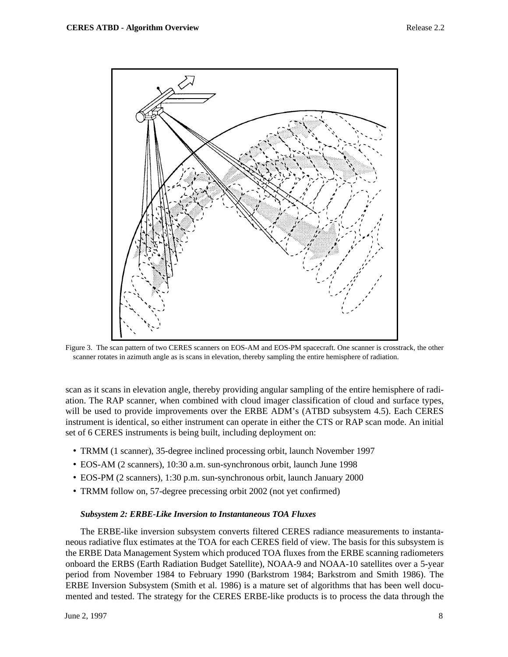

Figure 3. The scan pattern of two CERES scanners on EOS-AM and EOS-PM spacecraft. One scanner is crosstrack, the other scanner rotates in azimuth angle as is scans in elevation, thereby sampling the entire hemisphere of radiation.

scan as it scans in elevation angle, thereby providing angular sampling of the entire hemisphere of radiation. The RAP scanner, when combined with cloud imager classification of cloud and surface types, will be used to provide improvements over the ERBE ADM's (ATBD subsystem 4.5). Each CERES instrument is identical, so either instrument can operate in either the CTS or RAP scan mode. An initial set of 6 CERES instruments is being built, including deployment on:

- TRMM (1 scanner), 35-degree inclined processing orbit, launch November 1997
- EOS-AM (2 scanners), 10:30 a.m. sun-synchronous orbit, launch June 1998
- EOS-PM (2 scanners), 1:30 p.m. sun-synchronous orbit, launch January 2000
- TRMM follow on, 57-degree precessing orbit 2002 (not yet confirmed)

### *Subsystem 2: ERBE-Like Inversion to Instantaneous TOA Fluxes*

The ERBE-like inversion subsystem converts filtered CERES radiance measurements to instantaneous radiative flux estimates at the TOA for each CERES field of view. The basis for this subsystem is the ERBE Data Management System which produced TOA fluxes from the ERBE scanning radiometers onboard the ERBS (Earth Radiation Budget Satellite), NOAA-9 and NOAA-10 satellites over a 5-year period from November 1984 to February 1990 (Barkstrom 1984; Barkstrom and Smith 1986). The ERBE Inversion Subsystem (Smith et al. 1986) is a mature set of algorithms that has been well documented and tested. The strategy for the CERES ERBE-like products is to process the data through the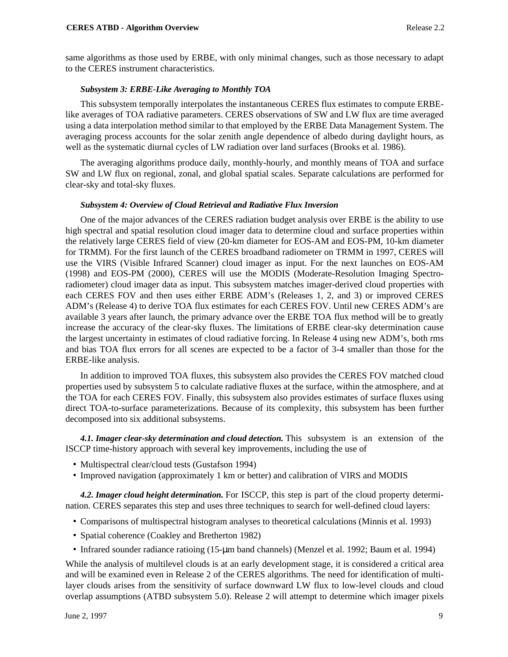same algorithms as those used by ERBE, with only minimal changes, such as those necessary to adapt to the CERES instrument characteristics.

### *Subsystem 3: ERBE-Like Averaging to Monthly TOA*

This subsystem temporally interpolates the instantaneous CERES flux estimates to compute ERBElike averages of TOA radiative parameters. CERES observations of SW and LW flux are time averaged using a data interpolation method similar to that employed by the ERBE Data Management System. The averaging process accounts for the solar zenith angle dependence of albedo during daylight hours, as well as the systematic diurnal cycles of LW radiation over land surfaces (Brooks et al. 1986).

The averaging algorithms produce daily, monthly-hourly, and monthly means of TOA and surface SW and LW flux on regional, zonal, and global spatial scales. Separate calculations are performed for clear-sky and total-sky fluxes.

#### *Subsystem 4: Overview of Cloud Retrieval and Radiative Flux Inversion*

One of the major advances of the CERES radiation budget analysis over ERBE is the ability to use high spectral and spatial resolution cloud imager data to determine cloud and surface properties within the relatively large CERES field of view (20-km diameter for EOS-AM and EOS-PM, 10-km diameter for TRMM). For the first launch of the CERES broadband radiometer on TRMM in 1997, CERES will use the VIRS (Visible Infrared Scanner) cloud imager as input. For the next launches on EOS-AM (1998) and EOS-PM (2000), CERES will use the MODIS (Moderate-Resolution Imaging Spectroradiometer) cloud imager data as input. This subsystem matches imager-derived cloud properties with each CERES FOV and then uses either ERBE ADM's (Releases 1, 2, and 3) or improved CERES ADM's (Release 4) to derive TOA flux estimates for each CERES FOV. Until new CERES ADM's are available 3 years after launch, the primary advance over the ERBE TOA flux method will be to greatly increase the accuracy of the clear-sky fluxes. The limitations of ERBE clear-sky determination cause the largest uncertainty in estimates of cloud radiative forcing. In Release 4 using new ADM's, both rms and bias TOA flux errors for all scenes are expected to be a factor of 3-4 smaller than those for the ERBE-like analysis.

In addition to improved TOA fluxes, this subsystem also provides the CERES FOV matched cloud properties used by subsystem 5 to calculate radiative fluxes at the surface, within the atmosphere, and at the TOA for each CERES FOV. Finally, this subsystem also provides estimates of surface fluxes using direct TOA-to-surface parameterizations. Because of its complexity, this subsystem has been further decomposed into six additional subsystems.

*4.1. Imager clear-sky determination and cloud detection.* This subsystem is an extension of the ISCCP time-history approach with several key improvements, including the use of

- Multispectral clear/cloud tests (Gustafson 1994)
- Improved navigation (approximately 1 km or better) and calibration of VIRS and MODIS

*4.2. Imager cloud height determination.* For ISCCP, this step is part of the cloud property determination. CERES separates this step and uses three techniques to search for well-defined cloud layers:

- Comparisons of multispectral histogram analyses to theoretical calculations (Minnis et al. 1993)
- Spatial coherence (Coakley and Bretherton 1982)
- Infrared sounder radiance ratioing (15-µm band channels) (Menzel et al. 1992; Baum et al. 1994)

While the analysis of multilevel clouds is at an early development stage, it is considered a critical area and will be examined even in Release 2 of the CERES algorithms. The need for identification of multilayer clouds arises from the sensitivity of surface downward LW flux to low-level clouds and cloud overlap assumptions (ATBD subsystem 5.0). Release 2 will attempt to determine which imager pixels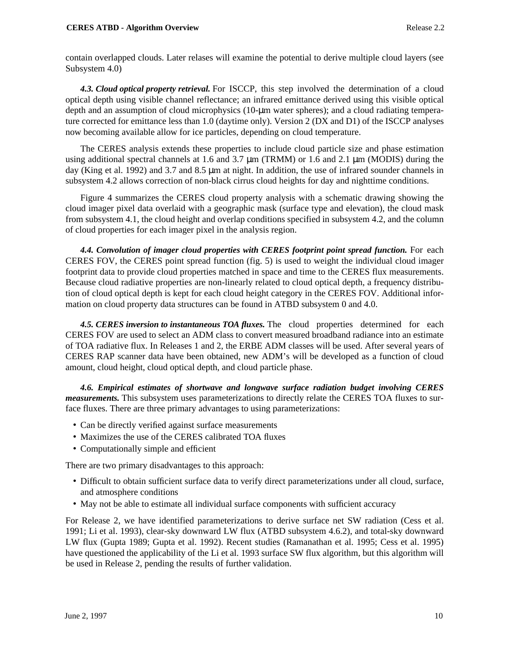contain overlapped clouds. Later relases will examine the potential to derive multiple cloud layers (see Subsystem 4.0)

*4.3. Cloud optical property retrieval.* For ISCCP, this step involved the determination of a cloud optical depth using visible channel reflectance; an infrared emittance derived using this visible optical depth and an assumption of cloud microphysics (10-µm water spheres); and a cloud radiating temperature corrected for emittance less than 1.0 (daytime only). Version 2 (DX and D1) of the ISCCP analyses now becoming available allow for ice particles, depending on cloud temperature.

The CERES analysis extends these properties to include cloud particle size and phase estimation using additional spectral channels at 1.6 and 3.7  $\mu$ m (TRMM) or 1.6 and 2.1  $\mu$ m (MODIS) during the day (King et al. 1992) and 3.7 and 8.5 µm at night. In addition, the use of infrared sounder channels in subsystem 4.2 allows correction of non-black cirrus cloud heights for day and nighttime conditions.

Figure 4 summarizes the CERES cloud property analysis with a schematic drawing showing the cloud imager pixel data overlaid with a geographic mask (surface type and elevation), the cloud mask from subsystem 4.1, the cloud height and overlap conditions specified in subsystem 4.2, and the column of cloud properties for each imager pixel in the analysis region.

*4.4. Convolution of imager cloud properties with CERES footprint point spread function.* For each CERES FOV, the CERES point spread function (fig. 5) is used to weight the individual cloud imager footprint data to provide cloud properties matched in space and time to the CERES flux measurements. Because cloud radiative properties are non-linearly related to cloud optical depth, a frequency distribution of cloud optical depth is kept for each cloud height category in the CERES FOV. Additional information on cloud property data structures can be found in ATBD subsystem 0 and 4.0.

*4.5. CERES inversion to instantaneous TOA fluxes.* The cloud properties determined for each CERES FOV are used to select an ADM class to convert measured broadband radiance into an estimate of TOA radiative flux. In Releases 1 and 2, the ERBE ADM classes will be used. After several years of CERES RAP scanner data have been obtained, new ADM's will be developed as a function of cloud amount, cloud height, cloud optical depth, and cloud particle phase.

*4.6. Empirical estimates of shortwave and longwave surface radiation budget involving CERES measurements.* This subsystem uses parameterizations to directly relate the CERES TOA fluxes to surface fluxes. There are three primary advantages to using parameterizations:

- Can be directly verified against surface measurements
- Maximizes the use of the CERES calibrated TOA fluxes
- Computationally simple and efficient

There are two primary disadvantages to this approach:

- Difficult to obtain sufficient surface data to verify direct parameterizations under all cloud, surface, and atmosphere conditions
- May not be able to estimate all individual surface components with sufficient accuracy

For Release 2, we have identified parameterizations to derive surface net SW radiation (Cess et al. 1991; Li et al. 1993), clear-sky downward LW flux (ATBD subsystem 4.6.2), and total-sky downward LW flux (Gupta 1989; Gupta et al. 1992). Recent studies (Ramanathan et al. 1995; Cess et al. 1995) have questioned the applicability of the Li et al. 1993 surface SW flux algorithm, but this algorithm will be used in Release 2, pending the results of further validation.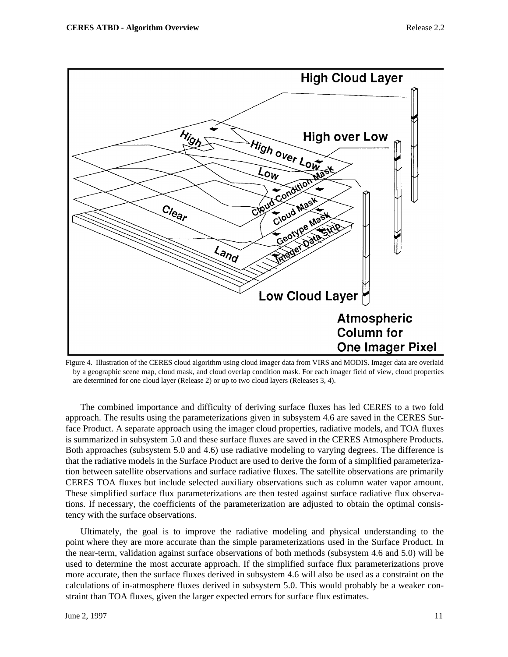

Figure 4. Illustration of the CERES cloud algorithm using cloud imager data from VIRS and MODIS. Imager data are overlaid by a geographic scene map, cloud mask, and cloud overlap condition mask. For each imager field of view, cloud properties are determined for one cloud layer (Release 2) or up to two cloud layers (Releases 3, 4).

The combined importance and difficulty of deriving surface fluxes has led CERES to a two fold approach. The results using the parameterizations given in subsystem 4.6 are saved in the CERES Surface Product. A separate approach using the imager cloud properties, radiative models, and TOA fluxes is summarized in subsystem 5.0 and these surface fluxes are saved in the CERES Atmosphere Products. Both approaches (subsystem 5.0 and 4.6) use radiative modeling to varying degrees. The difference is that the radiative models in the Surface Product are used to derive the form of a simplified parameterization between satellite observations and surface radiative fluxes. The satellite observations are primarily CERES TOA fluxes but include selected auxiliary observations such as column water vapor amount. These simplified surface flux parameterizations are then tested against surface radiative flux observations. If necessary, the coefficients of the parameterization are adjusted to obtain the optimal consistency with the surface observations.

Ultimately, the goal is to improve the radiative modeling and physical understanding to the point where they are more accurate than the simple parameterizations used in the Surface Product. In the near-term, validation against surface observations of both methods (subsystem 4.6 and 5.0) will be used to determine the most accurate approach. If the simplified surface flux parameterizations prove more accurate, then the surface fluxes derived in subsystem 4.6 will also be used as a constraint on the calculations of in-atmosphere fluxes derived in subsystem 5.0. This would probably be a weaker constraint than TOA fluxes, given the larger expected errors for surface flux estimates.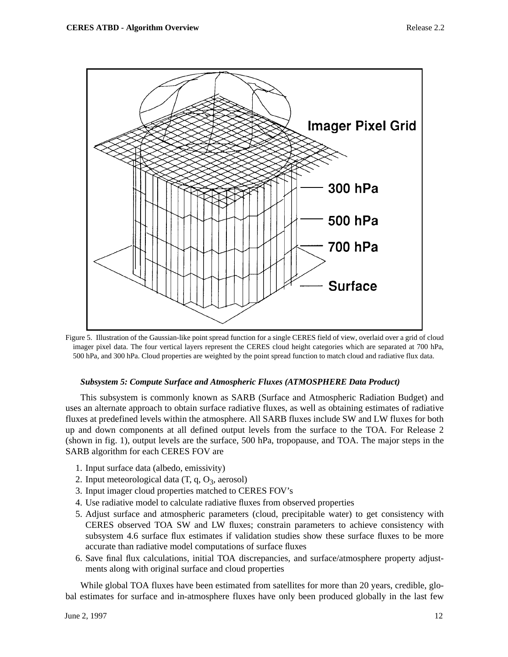

Figure 5. Illustration of the Gaussian-like point spread function for a single CERES field of view, overlaid over a grid of cloud imager pixel data. The four vertical layers represent the CERES cloud height categories which are separated at 700 hPa, 500 hPa, and 300 hPa. Cloud properties are weighted by the point spread function to match cloud and radiative flux data.

### *Subsystem 5: Compute Surface and Atmospheric Fluxes (ATMOSPHERE Data Product)*

This subsystem is commonly known as SARB (Surface and Atmospheric Radiation Budget) and uses an alternate approach to obtain surface radiative fluxes, as well as obtaining estimates of radiative fluxes at predefined levels within the atmosphere. All SARB fluxes include SW and LW fluxes for both up and down components at all defined output levels from the surface to the TOA. For Release 2 (shown in fig. 1), output levels are the surface, 500 hPa, tropopause, and TOA. The major steps in the SARB algorithm for each CERES FOV are

- 1. Input surface data (albedo, emissivity)
- 2. Input meteorological data  $(T, q, O_3, \text{aerosol})$
- 3. Input imager cloud properties matched to CERES FOV's
- 4. Use radiative model to calculate radiative fluxes from observed properties
- 5. Adjust surface and atmospheric parameters (cloud, precipitable water) to get consistency with CERES observed TOA SW and LW fluxes; constrain parameters to achieve consistency with subsystem 4.6 surface flux estimates if validation studies show these surface fluxes to be more accurate than radiative model computations of surface fluxes
- 6. Save final flux calculations, initial TOA discrepancies, and surface/atmosphere property adjustments along with original surface and cloud properties

While global TOA fluxes have been estimated from satellites for more than 20 years, credible, global estimates for surface and in-atmosphere fluxes have only been produced globally in the last few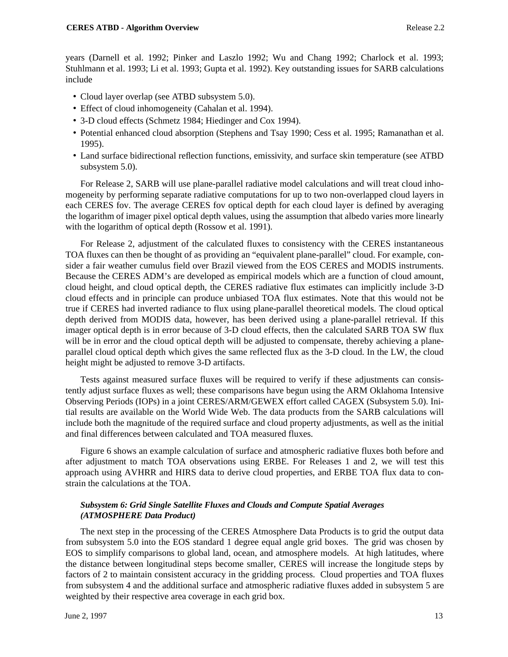years (Darnell et al. 1992; Pinker and Laszlo 1992; Wu and Chang 1992; Charlock et al. 1993; Stuhlmann et al. 1993; Li et al. 1993; Gupta et al. 1992). Key outstanding issues for SARB calculations include

- Cloud layer overlap (see ATBD subsystem 5.0).
- Effect of cloud inhomogeneity (Cahalan et al. 1994).
- 3-D cloud effects (Schmetz 1984; Hiedinger and Cox 1994).
- Potential enhanced cloud absorption (Stephens and Tsay 1990; Cess et al. 1995; Ramanathan et al. 1995).
- Land surface bidirectional reflection functions, emissivity, and surface skin temperature (see ATBD subsystem 5.0).

For Release 2, SARB will use plane-parallel radiative model calculations and will treat cloud inhomogeneity by performing separate radiative computations for up to two non-overlapped cloud layers in each CERES fov. The average CERES fov optical depth for each cloud layer is defined by averaging the logarithm of imager pixel optical depth values, using the assumption that albedo varies more linearly with the logarithm of optical depth (Rossow et al. 1991).

For Release 2, adjustment of the calculated fluxes to consistency with the CERES instantaneous TOA fluxes can then be thought of as providing an "equivalent plane-parallel" cloud. For example, consider a fair weather cumulus field over Brazil viewed from the EOS CERES and MODIS instruments. Because the CERES ADM's are developed as empirical models which are a function of cloud amount, cloud height, and cloud optical depth, the CERES radiative flux estimates can implicitly include 3-D cloud effects and in principle can produce unbiased TOA flux estimates. Note that this would not be true if CERES had inverted radiance to flux using plane-parallel theoretical models. The cloud optical depth derived from MODIS data, however, has been derived using a plane-parallel retrieval. If this imager optical depth is in error because of 3-D cloud effects, then the calculated SARB TOA SW flux will be in error and the cloud optical depth will be adjusted to compensate, thereby achieving a planeparallel cloud optical depth which gives the same reflected flux as the 3-D cloud. In the LW, the cloud height might be adjusted to remove 3-D artifacts.

Tests against measured surface fluxes will be required to verify if these adjustments can consistently adjust surface fluxes as well; these comparisons have begun using the ARM Oklahoma Intensive Observing Periods (IOPs) in a joint CERES/ARM/GEWEX effort called CAGEX (Subsystem 5.0). Initial results are available on the World Wide Web. The data products from the SARB calculations will include both the magnitude of the required surface and cloud property adjustments, as well as the initial and final differences between calculated and TOA measured fluxes.

Figure 6 shows an example calculation of surface and atmospheric radiative fluxes both before and after adjustment to match TOA observations using ERBE. For Releases 1 and 2, we will test this approach using AVHRR and HIRS data to derive cloud properties, and ERBE TOA flux data to constrain the calculations at the TOA.

# *Subsystem 6: Grid Single Satellite Fluxes and Clouds and Compute Spatial Averages (ATMOSPHERE Data Product)*

The next step in the processing of the CERES Atmosphere Data Products is to grid the output data from subsystem 5.0 into the EOS standard 1 degree equal angle grid boxes. The grid was chosen by EOS to simplify comparisons to global land, ocean, and atmosphere models. At high latitudes, where the distance between longitudinal steps become smaller, CERES will increase the longitude steps by factors of 2 to maintain consistent accuracy in the gridding process. Cloud properties and TOA fluxes from subsystem 4 and the additional surface and atmospheric radiative fluxes added in subsystem 5 are weighted by their respective area coverage in each grid box.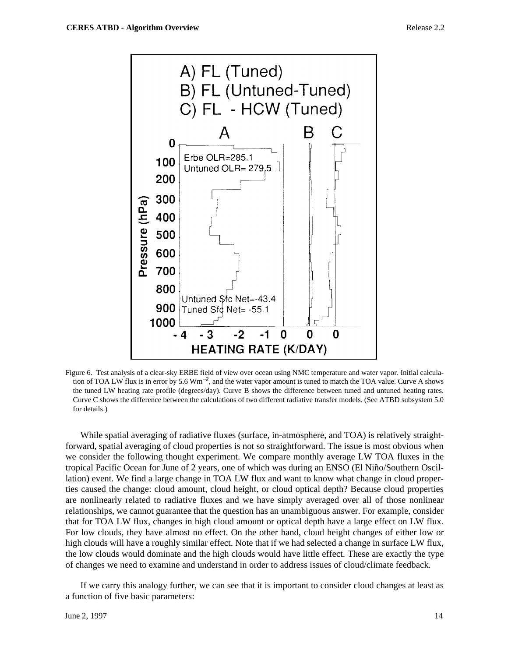

Figure 6. Test analysis of a clear-sky ERBE field of view over ocean using NMC temperature and water vapor. Initial calculation of TOA LW flux is in error by 5.6  $Wm^{-2}$ , and the water vapor amount is tuned to match the TOA value. Curve A shows the tuned LW heating rate profile (degrees/day). Curve B shows the difference between tuned and untuned heating rates. Curve C shows the difference between the calculations of two different radiative transfer models. (See ATBD subsystem 5.0 for details.)

While spatial averaging of radiative fluxes (surface, in-atmosphere, and TOA) is relatively straightforward, spatial averaging of cloud properties is not so straightforward. The issue is most obvious when we consider the following thought experiment. We compare monthly average LW TOA fluxes in the tropical Pacific Ocean for June of 2 years, one of which was during an ENSO (El Niño/Southern Oscillation) event. We find a large change in TOA LW flux and want to know what change in cloud properties caused the change: cloud amount, cloud height, or cloud optical depth? Because cloud properties are nonlinearly related to radiative fluxes and we have simply averaged over all of those nonlinear relationships, we cannot guarantee that the question has an unambiguous answer. For example, consider that for TOA LW flux, changes in high cloud amount or optical depth have a large effect on LW flux. For low clouds, they have almost no effect. On the other hand, cloud height changes of either low or high clouds will have a roughly similar effect. Note that if we had selected a change in surface LW flux, the low clouds would dominate and the high clouds would have little effect. These are exactly the type of changes we need to examine and understand in order to address issues of cloud/climate feedback.

If we carry this analogy further, we can see that it is important to consider cloud changes at least as a function of five basic parameters: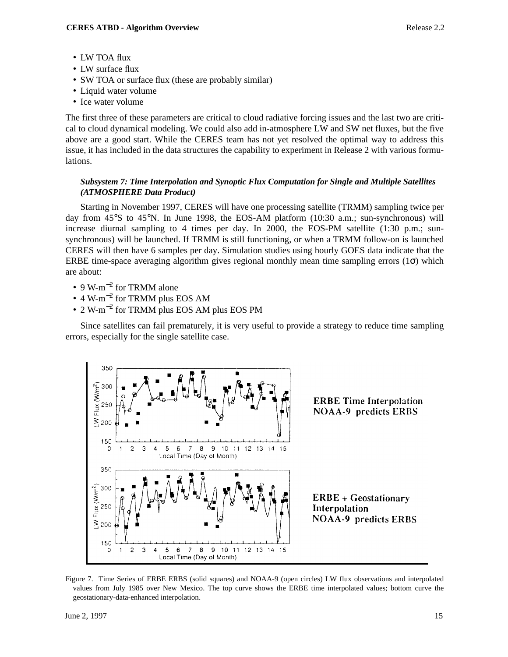- LW TOA flux
- LW surface flux
- SW TOA or surface flux (these are probably similar)
- Liquid water volume
- Ice water volume

The first three of these parameters are critical to cloud radiative forcing issues and the last two are critical to cloud dynamical modeling. We could also add in-atmosphere LW and SW net fluxes, but the five above are a good start. While the CERES team has not yet resolved the optimal way to address this issue, it has included in the data structures the capability to experiment in Release 2 with various formulations.

## *Subsystem 7: Time Interpolation and Synoptic Flux Computation for Single and Multiple Satellites (ATMOSPHERE Data Product)*

Starting in November 1997, CERES will have one processing satellite (TRMM) sampling twice per day from 45°S to 45°N. In June 1998, the EOS-AM platform (10:30 a.m.; sun-synchronous) will increase diurnal sampling to 4 times per day. In 2000, the EOS-PM satellite (1:30 p.m.; sunsynchronous) will be launched. If TRMM is still functioning, or when a TRMM follow-on is launched CERES will then have 6 samples per day. Simulation studies using hourly GOES data indicate that the ERBE time-space averaging algorithm gives regional monthly mean time sampling errors  $(1\sigma)$  which are about:

- 9 W-m<sup>-2</sup> for TRMM alone
- 4 W-m−<sup>2</sup> for TRMM plus EOS AM
- 2 W-m−<sup>2</sup> for TRMM plus EOS AM plus EOS PM

Since satellites can fail prematurely, it is very useful to provide a strategy to reduce time sampling errors, especially for the single satellite case.



Figure 7. Time Series of ERBE ERBS (solid squares) and NOAA-9 (open circles) LW flux observations and interpolated values from July 1985 over New Mexico. The top curve shows the ERBE time interpolated values; bottom curve the geostationary-data-enhanced interpolation.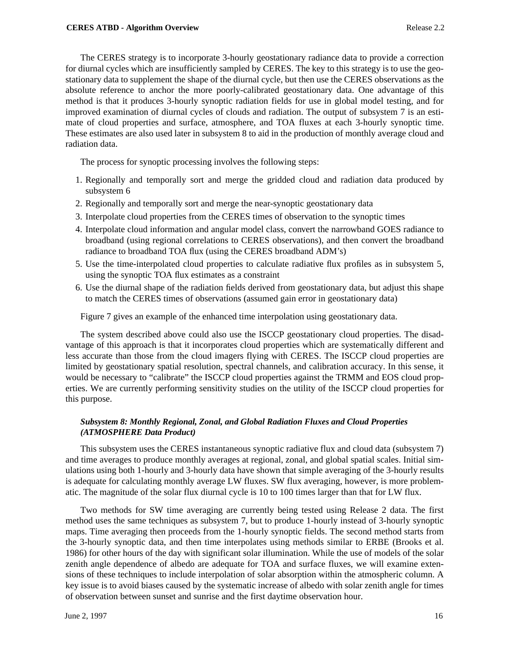The CERES strategy is to incorporate 3-hourly geostationary radiance data to provide a correction for diurnal cycles which are insufficiently sampled by CERES. The key to this strategy is to use the geostationary data to supplement the shape of the diurnal cycle, but then use the CERES observations as the absolute reference to anchor the more poorly-calibrated geostationary data. One advantage of this method is that it produces 3-hourly synoptic radiation fields for use in global model testing, and for improved examination of diurnal cycles of clouds and radiation. The output of subsystem 7 is an estimate of cloud properties and surface, atmosphere, and TOA fluxes at each 3-hourly synoptic time. These estimates are also used later in subsystem 8 to aid in the production of monthly average cloud and radiation data.

The process for synoptic processing involves the following steps:

- 1. Regionally and temporally sort and merge the gridded cloud and radiation data produced by subsystem 6
- 2. Regionally and temporally sort and merge the near-synoptic geostationary data
- 3. Interpolate cloud properties from the CERES times of observation to the synoptic times
- 4. Interpolate cloud information and angular model class, convert the narrowband GOES radiance to broadband (using regional correlations to CERES observations), and then convert the broadband radiance to broadband TOA flux (using the CERES broadband ADM's)
- 5. Use the time-interpolated cloud properties to calculate radiative flux profiles as in subsystem 5, using the synoptic TOA flux estimates as a constraint
- 6. Use the diurnal shape of the radiation fields derived from geostationary data, but adjust this shape to match the CERES times of observations (assumed gain error in geostationary data)

Figure 7 gives an example of the enhanced time interpolation using geostationary data.

The system described above could also use the ISCCP geostationary cloud properties. The disadvantage of this approach is that it incorporates cloud properties which are systematically different and less accurate than those from the cloud imagers flying with CERES. The ISCCP cloud properties are limited by geostationary spatial resolution, spectral channels, and calibration accuracy. In this sense, it would be necessary to "calibrate" the ISCCP cloud properties against the TRMM and EOS cloud properties. We are currently performing sensitivity studies on the utility of the ISCCP cloud properties for this purpose.

# *Subsystem 8: Monthly Regional, Zonal, and Global Radiation Fluxes and Cloud Properties (ATMOSPHERE Data Product)*

This subsystem uses the CERES instantaneous synoptic radiative flux and cloud data (subsystem 7) and time averages to produce monthly averages at regional, zonal, and global spatial scales. Initial simulations using both 1-hourly and 3-hourly data have shown that simple averaging of the 3-hourly results is adequate for calculating monthly average LW fluxes. SW flux averaging, however, is more problematic. The magnitude of the solar flux diurnal cycle is 10 to 100 times larger than that for LW flux.

Two methods for SW time averaging are currently being tested using Release 2 data. The first method uses the same techniques as subsystem 7, but to produce 1-hourly instead of 3-hourly synoptic maps. Time averaging then proceeds from the 1-hourly synoptic fields. The second method starts from the 3-hourly synoptic data, and then time interpolates using methods similar to ERBE (Brooks et al. 1986) for other hours of the day with significant solar illumination. While the use of models of the solar zenith angle dependence of albedo are adequate for TOA and surface fluxes, we will examine extensions of these techniques to include interpolation of solar absorption within the atmospheric column. A key issue is to avoid biases caused by the systematic increase of albedo with solar zenith angle for times of observation between sunset and sunrise and the first daytime observation hour.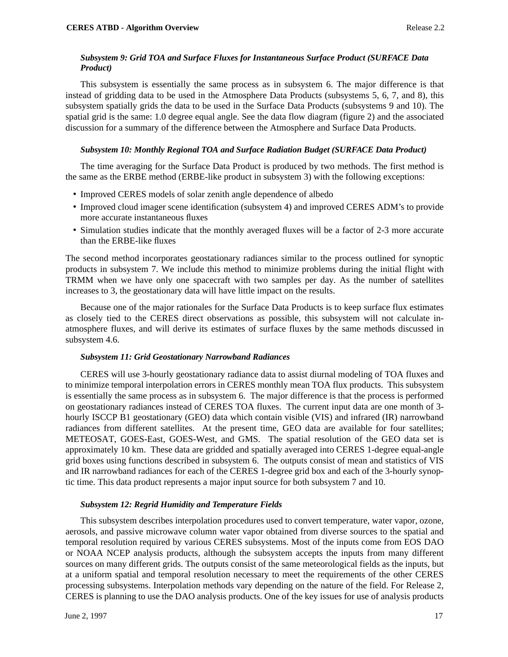## *Subsystem 9: Grid TOA and Surface Fluxes for Instantaneous Surface Product (SURFACE Data Product)*

This subsystem is essentially the same process as in subsystem 6. The major difference is that instead of gridding data to be used in the Atmosphere Data Products (subsystems 5, 6, 7, and 8), this subsystem spatially grids the data to be used in the Surface Data Products (subsystems 9 and 10). The spatial grid is the same: 1.0 degree equal angle. See the data flow diagram (figure 2) and the associated discussion for a summary of the difference between the Atmosphere and Surface Data Products.

#### *Subsystem 10: Monthly Regional TOA and Surface Radiation Budget (SURFACE Data Product)*

The time averaging for the Surface Data Product is produced by two methods. The first method is the same as the ERBE method (ERBE-like product in subsystem 3) with the following exceptions:

- Improved CERES models of solar zenith angle dependence of albedo
- Improved cloud imager scene identification (subsystem 4) and improved CERES ADM's to provide more accurate instantaneous fluxes
- Simulation studies indicate that the monthly averaged fluxes will be a factor of 2-3 more accurate than the ERBE-like fluxes

The second method incorporates geostationary radiances similar to the process outlined for synoptic products in subsystem 7. We include this method to minimize problems during the initial flight with TRMM when we have only one spacecraft with two samples per day. As the number of satellites increases to 3, the geostationary data will have little impact on the results.

Because one of the major rationales for the Surface Data Products is to keep surface flux estimates as closely tied to the CERES direct observations as possible, this subsystem will not calculate inatmosphere fluxes, and will derive its estimates of surface fluxes by the same methods discussed in subsystem 4.6.

## *Subsystem 11: Grid Geostationary Narrowband Radiances*

CERES will use 3-hourly geostationary radiance data to assist diurnal modeling of TOA fluxes and to minimize temporal interpolation errors in CERES monthly mean TOA flux products. This subsystem is essentially the same process as in subsystem 6. The major difference is that the process is performed on geostationary radiances instead of CERES TOA fluxes. The current input data are one month of 3 hourly ISCCP B1 geostationary (GEO) data which contain visible (VIS) and infrared (IR) narrowband radiances from different satellites. At the present time, GEO data are available for four satellites; METEOSAT, GOES-East, GOES-West, and GMS. The spatial resolution of the GEO data set is approximately 10 km. These data are gridded and spatially averaged into CERES 1-degree equal-angle grid boxes using functions described in subsystem 6. The outputs consist of mean and statistics of VIS and IR narrowband radiances for each of the CERES 1-degree grid box and each of the 3-hourly synoptic time. This data product represents a major input source for both subsystem 7 and 10.

#### *Subsystem 12: Regrid Humidity and Temperature Fields*

This subsystem describes interpolation procedures used to convert temperature, water vapor, ozone, aerosols, and passive microwave column water vapor obtained from diverse sources to the spatial and temporal resolution required by various CERES subsystems. Most of the inputs come from EOS DAO or NOAA NCEP analysis products, although the subsystem accepts the inputs from many different sources on many different grids. The outputs consist of the same meteorological fields as the inputs, but at a uniform spatial and temporal resolution necessary to meet the requirements of the other CERES processing subsystems. Interpolation methods vary depending on the nature of the field. For Release 2, CERES is planning to use the DAO analysis products. One of the key issues for use of analysis products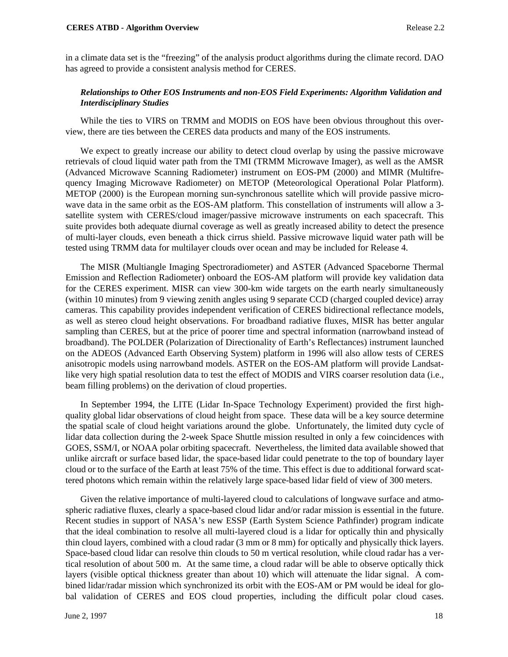in a climate data set is the "freezing" of the analysis product algorithms during the climate record. DAO has agreed to provide a consistent analysis method for CERES.

## *Relationships to Other EOS Instruments and non-EOS Field Experiments: Algorithm Validation and Interdisciplinary Studies*

While the ties to VIRS on TRMM and MODIS on EOS have been obvious throughout this overview, there are ties between the CERES data products and many of the EOS instruments.

We expect to greatly increase our ability to detect cloud overlap by using the passive microwave retrievals of cloud liquid water path from the TMI (TRMM Microwave Imager), as well as the AMSR (Advanced Microwave Scanning Radiometer) instrument on EOS-PM (2000) and MIMR (Multifrequency Imaging Microwave Radiometer) on METOP (Meteorological Operational Polar Platform). METOP (2000) is the European morning sun-synchronous satellite which will provide passive microwave data in the same orbit as the EOS-AM platform. This constellation of instruments will allow a 3 satellite system with CERES/cloud imager/passive microwave instruments on each spacecraft. This suite provides both adequate diurnal coverage as well as greatly increased ability to detect the presence of multi-layer clouds, even beneath a thick cirrus shield. Passive microwave liquid water path will be tested using TRMM data for multilayer clouds over ocean and may be included for Release 4.

The MISR (Multiangle Imaging Spectroradiometer) and ASTER (Advanced Spaceborne Thermal Emission and Reflection Radiometer) onboard the EOS-AM platform will provide key validation data for the CERES experiment. MISR can view 300-km wide targets on the earth nearly simultaneously (within 10 minutes) from 9 viewing zenith angles using 9 separate CCD (charged coupled device) array cameras. This capability provides independent verification of CERES bidirectional reflectance models, as well as stereo cloud height observations. For broadband radiative fluxes, MISR has better angular sampling than CERES, but at the price of poorer time and spectral information (narrowband instead of broadband). The POLDER (Polarization of Directionality of Earth's Reflectances) instrument launched on the ADEOS (Advanced Earth Observing System) platform in 1996 will also allow tests of CERES anisotropic models using narrowband models. ASTER on the EOS-AM platform will provide Landsatlike very high spatial resolution data to test the effect of MODIS and VIRS coarser resolution data (i.e., beam filling problems) on the derivation of cloud properties.

In September 1994, the LITE (Lidar In-Space Technology Experiment) provided the first highquality global lidar observations of cloud height from space. These data will be a key source determine the spatial scale of cloud height variations around the globe. Unfortunately, the limited duty cycle of lidar data collection during the 2-week Space Shuttle mission resulted in only a few coincidences with GOES, SSM/I, or NOAA polar orbiting spacecraft. Nevertheless, the limited data available showed that unlike aircraft or surface based lidar, the space-based lidar could penetrate to the top of boundary layer cloud or to the surface of the Earth at least 75% of the time. This effect is due to additional forward scattered photons which remain within the relatively large space-based lidar field of view of 300 meters.

Given the relative importance of multi-layered cloud to calculations of longwave surface and atmospheric radiative fluxes, clearly a space-based cloud lidar and/or radar mission is essential in the future. Recent studies in support of NASA's new ESSP (Earth System Science Pathfinder) program indicate that the ideal combination to resolve all multi-layered cloud is a lidar for optically thin and physically thin cloud layers, combined with a cloud radar (3 mm or 8 mm) for optically and physically thick layers. Space-based cloud lidar can resolve thin clouds to 50 m vertical resolution, while cloud radar has a vertical resolution of about 500 m. At the same time, a cloud radar will be able to observe optically thick layers (visible optical thickness greater than about 10) which will attenuate the lidar signal. A combined lidar/radar mission which synchronized its orbit with the EOS-AM or PM would be ideal for global validation of CERES and EOS cloud properties, including the difficult polar cloud cases.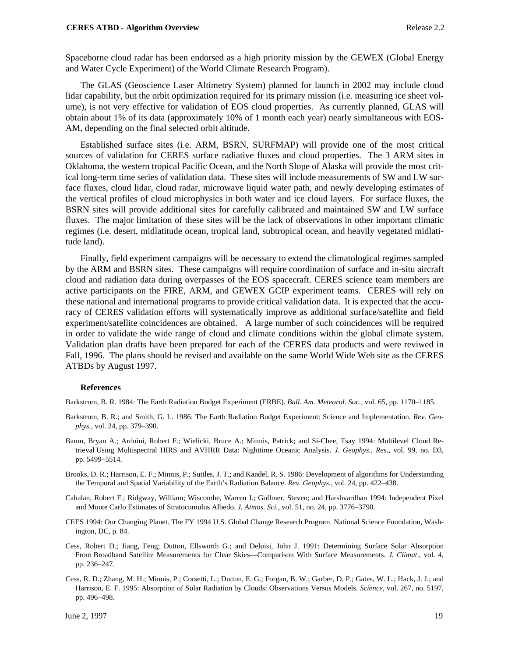#### **CERES ATBD - Algorithm Overview 2.2 Release 2.2**

Spaceborne cloud radar has been endorsed as a high priority mission by the GEWEX (Global Energy and Water Cycle Experiment) of the World Climate Research Program).

The GLAS (Geoscience Laser Altimetry System) planned for launch in 2002 may include cloud lidar capability, but the orbit optimization required for its primary mission (i.e. measuring ice sheet volume), is not very effective for validation of EOS cloud properties. As currently planned, GLAS will obtain about 1% of its data (approximately 10% of 1 month each year) nearly simultaneous with EOS-AM, depending on the final selected orbit altitude.

Established surface sites (i.e. ARM, BSRN, SURFMAP) will provide one of the most critical sources of validation for CERES surface radiative fluxes and cloud properties. The 3 ARM sites in Oklahoma, the western tropical Pacific Ocean, and the North Slope of Alaska will provide the most critical long-term time series of validation data. These sites will include measurements of SW and LW surface fluxes, cloud lidar, cloud radar, microwave liquid water path, and newly developing estimates of the vertical profiles of cloud microphysics in both water and ice cloud layers. For surface fluxes, the BSRN sites will provide additional sites for carefully calibrated and maintained SW and LW surface fluxes. The major limitation of these sites will be the lack of observations in other important climatic regimes (i.e. desert, midlatitude ocean, tropical land, subtropical ocean, and heavily vegetated midlatitude land).

Finally, field experiment campaigns will be necessary to extend the climatological regimes sampled by the ARM and BSRN sites. These campaigns will require coordination of surface and in-situ aircraft cloud and radiation data during overpasses of the EOS spacecraft. CERES science team members are active participants on the FIRE, ARM, and GEWEX GCIP experiment teams. CERES will rely on these national and international programs to provide critical validation data. It is expected that the accuracy of CERES validation efforts will systematically improve as additional surface/satellite and field experiment/satellite coincidences are obtained. A large number of such coincidences will be required in order to validate the wide range of cloud and climate conditions within the global climate system. Validation plan drafts have been prepared for each of the CERES data products and were reviwed in Fall, 1996. The plans should be revised and available on the same World Wide Web site as the CERES ATBDs by August 1997.

#### **References**

Barkstrom, B. R. 1984: The Earth Radiation Budget Experiment (ERBE). *Bull. Am. Meteorol. Soc.*, vol. 65, pp. 1170–1185.

- Barkstrom, B. R.; and Smith, G. L. 1986: The Earth Radiation Budget Experiment: Science and Implementation. *Rev. Geophys.*, vol. 24, pp. 379–390.
- Baum, Bryan A.; Arduini, Robert F.; Wielicki, Bruce A.; Minnis, Patrick; and Si-Chee, Tsay 1994: Multilevel Cloud Retrieval Using Multispectral HIRS and AVHRR Data: Nighttime Oceanic Analysis. *J. Geophys., Res*., vol. 99, no. D3, pp. 5499–5514.
- Brooks, D. R.; Harrison, E. F.; Minnis, P.; Suttles, J. T.; and Kandel, R. S. 1986: Development of algorithms for Understanding the Temporal and Spatial Variability of the Earth's Radiation Balance. *Rev. Geophys.*, vol. 24, pp. 422–438.
- Cahalan, Robert F.; Ridgway, William; Wiscombe, Warren J.; Gollmer, Steven; and Harshvardhan 1994: Independent Pixel and Monte Carlo Estimates of Stratocumulus Albedo. *J. Atmos. Sci.*, vol. 51, no. 24, pp. 3776–3790.
- CEES 1994: Our Changing Planet. The FY 1994 U.S. Global Change Research Program. National Science Foundation, Washington, DC, p. 84.
- Cess, Robert D.; Jiang, Feng; Dutton, Ellsworth G.; and Deluisi, John J. 1991: Determining Surface Solar Absorption From Broadband Satellite Measurements for Clear Skies—Comparison With Surface Measurements. *J. Climat*., vol. 4, pp. 236–247.
- Cess, R. D.; Zhang, M. H.; Minnis, P.; Corsetti, L.; Dutton, E. G.; Forgan, B. W.; Garber, D. P.; Gates, W. L.; Hack, J. J.; and Harrison, E. F. 1995: Absorption of Solar Radiation by Clouds: Observations Versus Models. *Science*, vol. 267, no. 5197, pp. 496–498.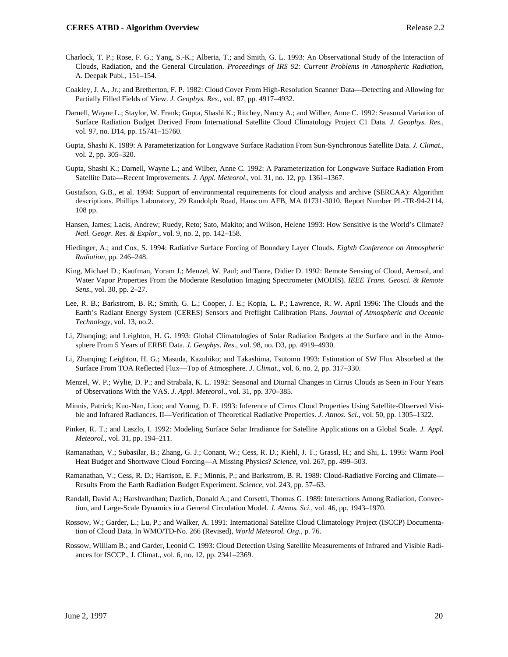- Charlock, T. P.; Rose, F. G.; Yang, S.-K.; Alberta, T.; and Smith, G. L. 1993: An Observational Study of the Interaction of Clouds, Radiation, and the General Circulation. *Proceedings of IRS 92: Current Problems in Atmospheric Radiation*, A. Deepak Publ., 151–154.
- Coakley, J. A., Jr.; and Bretherton, F. P. 1982: Cloud Cover From High-Resolution Scanner Data—Detecting and Allowing for Partially Filled Fields of View. *J. Geophys. Res.*, vol. 87, pp. 4917–4932.
- Darnell, Wayne L.; Staylor, W. Frank; Gupta, Shashi K.; Ritchey, Nancy A.; and Wilber, Anne C. 1992: Seasonal Variation of Surface Radiation Budget Derived From International Satellite Cloud Climatology Project C1 Data. *J. Geophys. Res*., vol. 97, no. D14, pp. 15741–15760.
- Gupta, Shashi K. 1989: A Parameterization for Longwave Surface Radiation From Sun-Synchronous Satellite Data. *J. Climat.*, vol. 2, pp. 305–320.
- Gupta, Shashi K.; Darnell, Wayne L.; and Wilber, Anne C. 1992: A Parameterization for Longwave Surface Radiation From Satellite Data—Recent Improvements. *J. Appl. Meteorol*., vol. 31, no. 12, pp. 1361–1367.
- Gustafson, G.B., et al. 1994: Support of environmental requirements for cloud analysis and archive (SERCAA): Algorithm descriptions. Phillips Laboratory, 29 Randolph Road, Hanscom AFB, MA 01731-3010, Report Number PL-TR-94-2114, 108 pp.
- Hansen, James; Lacis, Andrew; Ruedy, Reto; Sato, Makito; and Wilson, Helene 1993: How Sensitive is the World's Climate? *Natl. Geogr. Res. & Explor*., vol. 9, no. 2, pp. 142–158.
- Hiedinger, A.; and Cox, S. 1994: Radiative Surface Forcing of Boundary Layer Clouds. *Eighth Conference on Atmospheric Radiation*, pp. 246–248.
- King, Michael D.; Kaufman, Yoram J.; Menzel, W. Paul; and Tanre, Didier D. 1992: Remote Sensing of Cloud, Aerosol, and Water Vapor Properties From the Moderate Resolution Imaging Spectrometer (MODIS). *IEEE Trans. Geosci. & Remote Sens*., vol. 30, pp. 2–27.
- Lee, R. B.; Barkstrom, B. R.; Smith, G. L.; Cooper, J. E.; Kopia, L. P.; Lawrence, R. W. April 1996: The Clouds and the Earth's Radiant Energy System (CERES) Sensors and Preflight Calibration Plans. *Journal of Atmospheric and Oceanic Technology,* vol. 13, no.2.
- Li, Zhanqing; and Leighton, H. G. 1993: Global Climatologies of Solar Radiation Budgets at the Surface and in the Atmosphere From 5 Years of ERBE Data. *J. Geophys. Res*., vol. 98, no. D3, pp. 4919–4930.
- Li, Zhanqing; Leighton, H. G.; Masuda, Kazuhiko; and Takashima, Tsutomu 1993: Estimation of SW Flux Absorbed at the Surface From TOA Reflected Flux—Top of Atmosphere. *J. Climat*., vol. 6, no. 2, pp. 317–330.
- Menzel, W. P.; Wylie, D. P.; and Strabala, K. L. 1992: Seasonal and Diurnal Changes in Cirrus Clouds as Seen in Four Years of Observations With the VAS. *J. Appl. Meteorol.*, vol. 31, pp. 370–385.
- Minnis, Patrick; Kuo-Nan, Liou; and Young, D. F. 1993: Inference of Cirrus Cloud Properties Using Satellite-Observed Visible and Infrared Radiances. II—Verification of Theoretical Radiative Properties. *J. Atmos. Sci.*, vol. 50, pp. 1305–1322.
- Pinker, R. T.; and Laszlo, I. 1992: Modeling Surface Solar Irradiance for Satellite Applications on a Global Scale. *J. Appl. Meteorol*., vol. 31, pp. 194–211.
- Ramanathan, V.; Subasilar, B.; Zhang, G. J.; Conant, W.; Cess, R. D.; Kiehl, J. T.; Grassl, H.; and Shi, L. 1995: Warm Pool Heat Budget and Shortwave Cloud Forcing—A Missing Physics? *Science*, vol. 267, pp. 499–503.
- Ramanathan, V.; Cess, R. D.; Harrison, E. F.; Minnis, P.; and Barkstrom, B. R. 1989: Cloud-Radiative Forcing and Climate— Results From the Earth Radiation Budget Experiment. *Science*, vol. 243, pp. 57–63.
- Randall, David A.; Harshvardhan; Dazlich, Donald A.; and Corsetti, Thomas G. 1989: Interactions Among Radiation, Convection, and Large-Scale Dynamics in a General Circulation Model. *J. Atmos. Sci.*, vol. 46, pp. 1943–1970.
- Rossow, W.; Garder, L.; Lu, P.; and Walker, A. 1991: International Satellite Cloud Climatology Project (ISCCP) Documentation of Cloud Data. In WMO/TD-No. 266 (Revised), *World Meteorol. Org.*, p. 76.
- Rossow, William B.; and Garder, Leonid C. 1993: Cloud Detection Using Satellite Measurements of Infrared and Visible Radiances for ISCCP., J. Climat., vol. 6, no. 12, pp. 2341–2369.